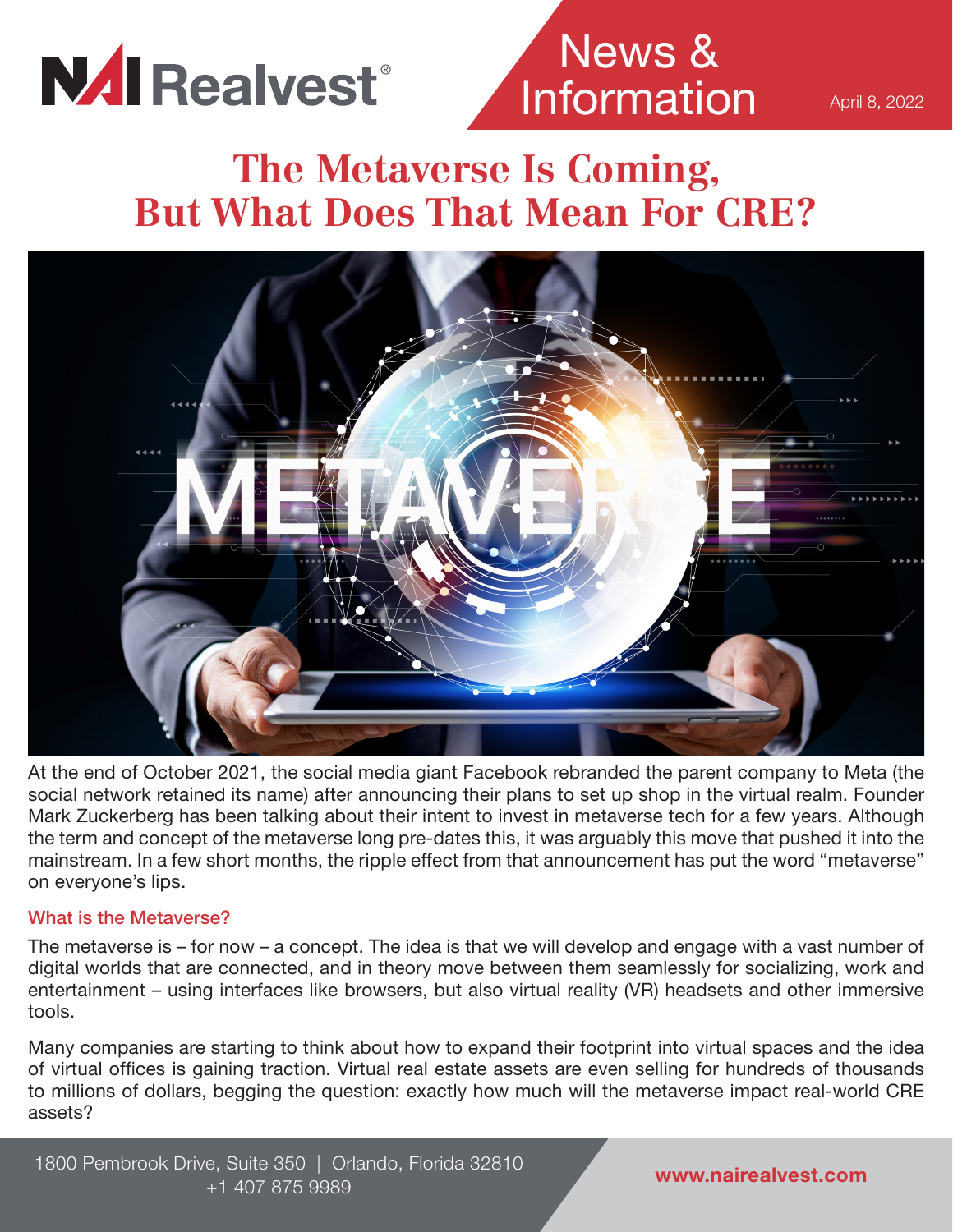

News & Information

April 8, 2022

## **The Metaverse Is Coming, But What Does That Mean For CRE?**



At the end of October 2021, the social media giant Facebook rebranded the parent company to Meta (the social network retained its name) after announcing their plans to set up shop in the virtual realm. Founder Mark Zuckerberg has been talking about their intent to invest in metaverse tech for a few years. Although the term and concept of the metaverse long pre-dates this, it was arguably this move that pushed it into the mainstream. In a few short months, the ripple effect from that announcement has put the word "metaverse" on everyone's lips.

#### What is the Metaverse?

The metaverse is – for now – a concept. The idea is that we will develop and engage with a vast number of digital worlds that are connected, and in theory move between them seamlessly for socializing, work and entertainment – using interfaces like browsers, but also virtual reality (VR) headsets and other immersive tools.

Many companies are starting to think about how to expand their footprint into virtual spaces and the idea of virtual offices is gaining traction. Virtual real estate assets are even selling for hundreds of thousands to millions of dollars, begging the question: exactly how much will the metaverse impact real-world CRE assets?